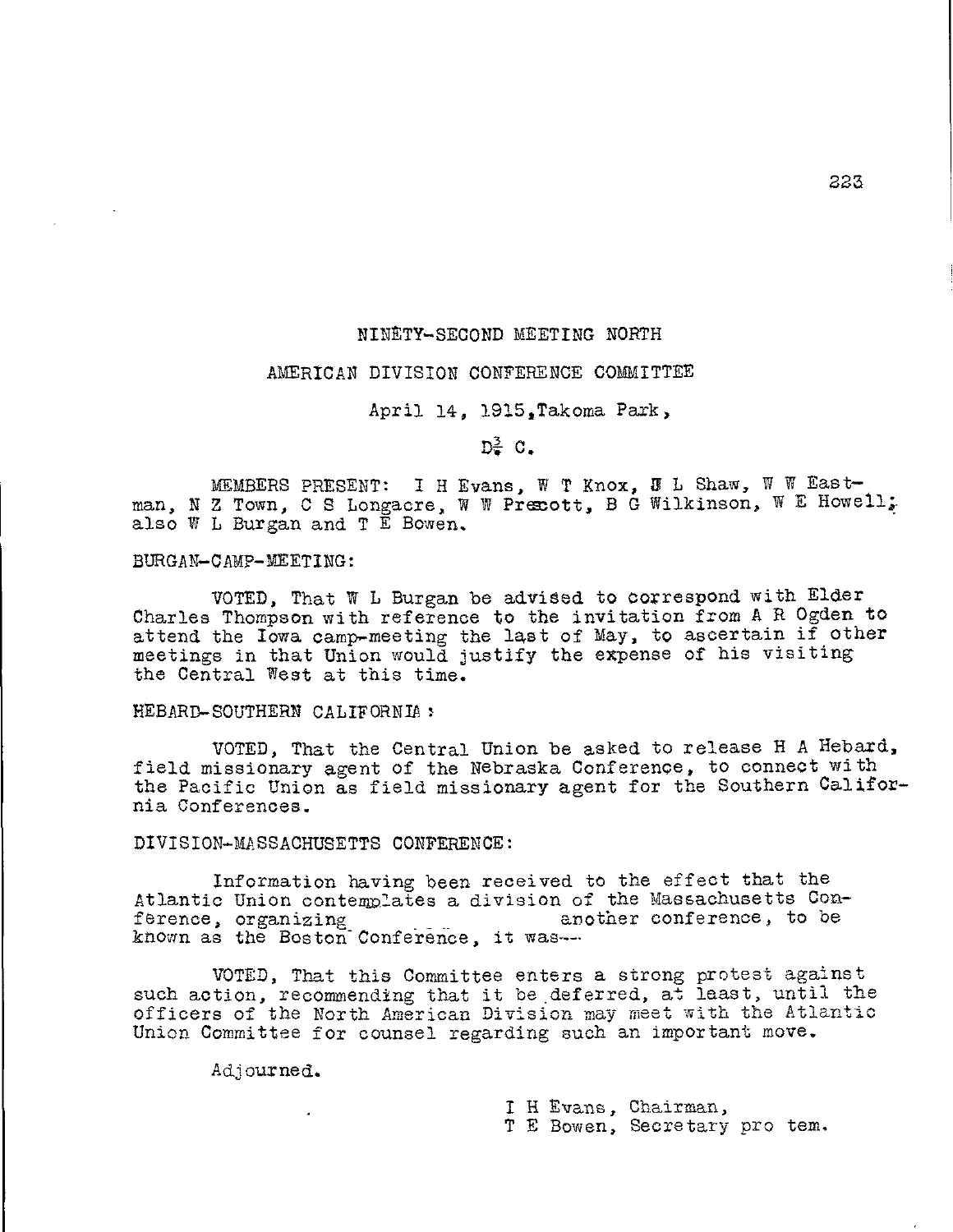## NINETY-SECOND MEETING NORTH

## AMERICAN DIVISION CONFERENCE COMMITTEE

April 14, 1915,Takoma Park,

 $D^{\geq}_2$  C.

MEMBERS PRESENT: I H Evans, W T Knox, J L Shaw, W W Eastman, N Z Town, C S Longacre, W W Precott, B G Wilkinson, W E Howell; also W L Burgan and T E Bowen.

BURGAN-CAMP-MEETING:

VOTED, That W L Burgan be advised to correspond with Elder Charles Thompson with reference to the invitation from A R Ogden to attend the Iowa camp-meeting the last of May, to ascertain if other meetings in that Union would justify the expense of his visiting the Central West at this time.

HEBARD-SOUTHERN CALIFORNIA:

VOTED, That the Central Union be asked to release H A Hebard, field missionary agent of the Nebraska Conference, to connect with the Pacific Union as field missionary agent for the Southern California Conferences.

DIVISION-MASSACHUSETTS CONFERENCE:

Information having been received to the effect that the Atlantic Union contemplates a division of the Massachusetts Con-<br>ference, organizing enother conference, to be ference, organizing another conference, to be known as the Boston Conference, it was---

VOTED, That this Committee enters a strong protest against such action, recommending that it be deferred, at least, until the officers of the North American Division maymeet with the Atlantic Union Committee for counsel regarding such an important move.

Adjourned.

I H Evans, Chairman,

T E Bowen, Secretary pro tem.